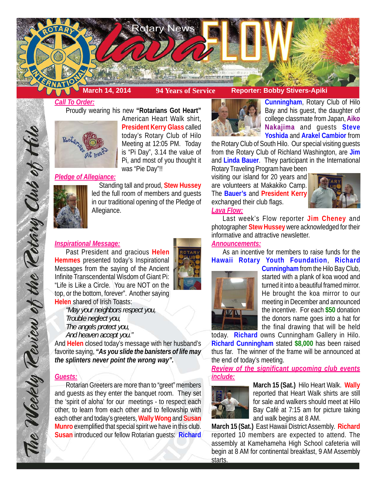

# *Call To Order:*

Proudly wearing his new **"Rotarians Got Heart"**



American Heart Walk shirt, **President Kerry Glass** called today's Rotary Club of Hilo Meeting at 12:05 PM. Today is "Pi Day", 3.14 the value of Pi, and most of you thought it was "Pie Day"!!

# *Pledge of Allegiance:*



Standing tall and proud, **Stew Hussey** led the full room of members and guests in our traditional opening of the Pledge of Allegiance.

## *Inspirational Message:*

Past President and gracious **Helen Hemmes** presented today's Inspirational Messages from the saying of the Ancient Infinite Transcendental Wisdom of Giant Pi: "Life is Like a Circle. You are NOT on the top, or the bottom, forever". Another saying **Helen** shared of Irish Toasts:

*"May your neighbors respect you, Trouble neglect you, The angels protect you, And heaven accept you."*

And **Helen** closed today's message with her husband's favorite saying, *"As you slide the banisters of life may the splinters never point the wrong way".*

## *Guests:*

The Weekly Teview of the Tetary Club of Hil

Rotarian Greeters are more than to "greet" members and guests as they enter the banquet room. They set the 'spirit of aloha' for our meetings - to respect each other, to learn from each other and to fellowship with each other and today's greeters, **Wally Wong** and **Susan Munro** exemplified that special spirit we have in this club. **Susan** introduced our fellow Rotarian guests: **Richard**



**Cunningham**, Rotary Club of Hilo Bay and his guest, the daughter of college classmate from Japan, **Aiko Nakajima** and guests **Steve Yoshida** and **Arakel Cambior** from

the Rotary Club of South Hilo. Our special visiting guests from the Rotary Club of Richland Washington, are **Jim** and **Linda Bauer**. They participant in the International Rotary Traveling Program have been

visiting our island for 20 years and are volunteers at Makakiko Camp. The **Bauer's** and **President Kerry** exchanged their club flags. *Lava Flow:*



Last week's Flow reporter **Jim Cheney** and photographer **Stew Hussey** were acknowledged for their informative and attractive newsletter.

# *Announcements:*

As an incentive for members to raise funds for the **Hawaii Rotary Youth Foundation**, **Richard**



**Cunningham** from the Hilo Bay Club, started with a plank of koa wood and turned it into a beautiful framed mirror. He brought the koa mirror to our meeting in December and announced the incentive. For each **\$50** donation the donors name goes into a hat for the final drawing that will be held

today. **Richard** owns Cunningham Gallery in Hilo. **Richard Cunningham** stated **\$8,000** has been raised thus far. The winner of the frame will be announced at the end of today's meeting.

*Review of the significant upcoming club events include:*



**March 15 (Sat.)** Hilo Heart Walk. **Wally** reported that Heart Walk shirts are still for sale and walkers should meet at Hilo Bay Café at 7:15 am for picture taking and walk begins at 8 AM.

**March 15 (Sat.)** East Hawaii District Assembly. **Richard** reported 10 members are expected to attend. The assembly at Kamehameha High School cafeteria will begin at 8 AM for continental breakfast, 9 AM Assembly starts.